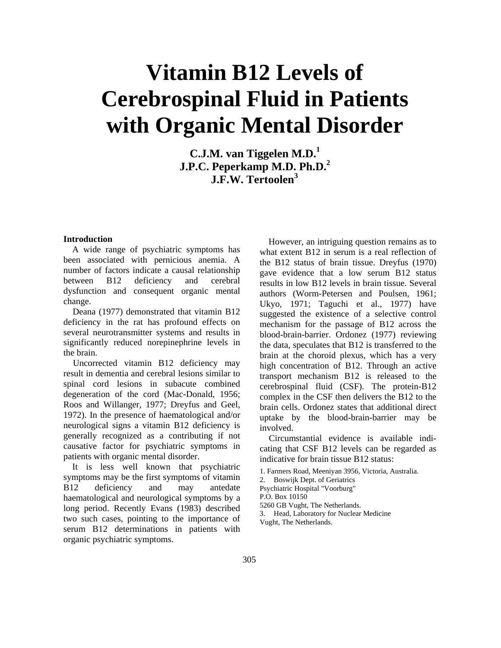# **Vitamin B12 Levels of Cerebrospinal Fluid in Patients with Organic Mental Disorder**

**C.J.M. van Tiggelen M.D.1 J.P.C. Peperkamp M.D. Ph.D.**<sup>2</sup> **J.F.W. Tertoolen<sup>3</sup>**

#### **Introduction**

A wide range of psychiatric symptoms has been associated with pernicious anemia. A number of factors indicate a causal relationship between B12 deficiency and cerebral dysfunction and consequent organic mental change.

Deana (1977) demonstrated that vitamin B12 deficiency in the rat has profound effects on several neurotransmitter systems and results in significantly reduced norepinephrine levels in the brain.

Uncorrected vitamin B12 deficiency may result in dementia and cerebral lesions similar to spinal cord lesions in subacute combined degeneration of the cord (Mac-Donald, 1956; Roos and Willanger, 1977; Dreyfus and Geel, 1972). In the presence of haematological and/or neurological signs a vitamin B12 deficiency is generally recognized as a contributing if not causative factor for psychiatric symptoms in patients with organic mental disorder.

It is less well known that psychiatric symptoms may be the first symptoms of vitamin B12 deficiency and may antedate haematological and neurological symptoms by a long period. Recently Evans (1983) described two such cases, pointing to the importance of serum B12 determinations in patients with organic psychiatric symptoms.

However, an intriguing question remains as to what extent B12 in serum is a real reflection of the B12 status of brain tissue. Dreyfus (1970) gave evidence that a low serum B12 status results in low B12 levels in brain tissue. Several authors (Worm-Petersen and Poulsen, 1961; Ukyo, 1971; Taguchi et al., 1977) have suggested the existence of a selective control mechanism for the passage of B12 across the blood-brain-barrier. Ordonez (1977) reviewing the data, speculates that B12 is transferred to the brain at the choroid plexus, which has a very high concentration of B12. Through an active transport mechanism B12 is released to the cerebrospinal fluid (CSF). The protein-B12 complex in the CSF then delivers the B12 to the brain cells. Ordonez states that additional direct uptake by the blood-brain-barrier may be involved.

Circumstantial evidence is available indicating that CSF B12 levels can be regarded as indicative for brain tissue B12 status:

- 1. Farmers Road, Meeniyan 3956, Victoria, Australia.
- 2. Boswijk Dept. of Geriatrics

Psychiatric Hospital "Voorburg"

- P.O. Box 10150
- 5260 GB Vught, The Netherlands.
- 3. Head, Laboratory for Nuclear Medicine

Vught, The Netherlands.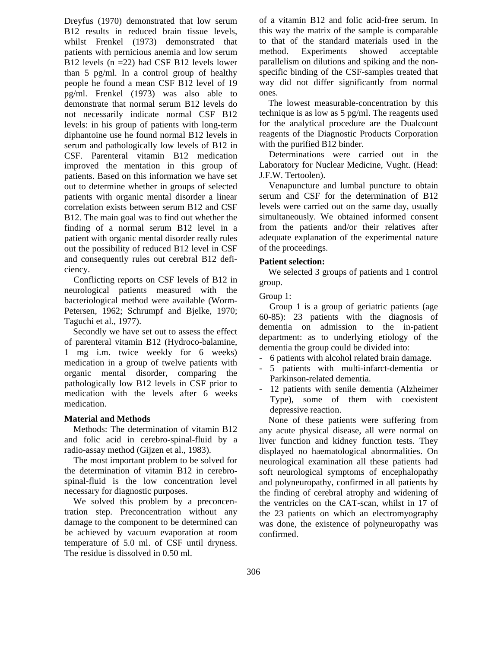Dreyfus (1970) demonstrated that low serum B12 results in reduced brain tissue levels, whilst Frenkel (1973) demonstrated that patients with pernicious anemia and low serum B12 levels (n =22) had CSF B12 levels lower than 5 pg/ml. In a control group of healthy people he found a mean CSF B12 level of 19 pg/ml. Frenkel (1973) was also able to demonstrate that normal serum B12 levels do not necessarily indicate normal CSF B12 levels: in his group of patients with long-term diphantoine use he found normal B12 levels in serum and pathologically low levels of B12 in CSF. Parenteral vitamin B12 medication improved the mentation in this group of patients. Based on this information we have set out to determine whether in groups of selected patients with organic mental disorder a linear correlation exists between serum B12 and CSF B12. The main goal was to find out whether the finding of a normal serum B12 level in a patient with organic mental disorder really rules out the possibility of reduced B12 level in CSF and consequently rules out cerebral B12 deficiency.

Conflicting reports on CSF levels of B12 in neurological patients measured with the bacteriological method were available (Worm-Petersen, 1962; Schrumpf and Bjelke, 1970; Taguchi et al., 1977).

Secondly we have set out to assess the effect of parenteral vitamin B12 (Hydroco-balamine, 1 mg i.m. twice weekly for 6 weeks) medication in a group of twelve patients with organic mental disorder, comparing the pathologically low B12 levels in CSF prior to medication with the levels after 6 weeks medication.

#### **Material and Methods**

Methods: The determination of vitamin B12 and folic acid in cerebro-spinal-fluid by a radio-assay method (Gijzen et al., 1983).

The most important problem to be solved for the determination of vitamin B12 in cerebrospinal-fluid is the low concentration level necessary for diagnostic purposes.

We solved this problem by a preconcentration step. Preconcentration without any damage to the component to be determined can be achieved by vacuum evaporation at room temperature of 5.0 ml. of CSF until dryness. The residue is dissolved in 0.50 ml.

of a vitamin B12 and folic acid-free serum. In this way the matrix of the sample is comparable to that of the standard materials used in the method. Experiments showed acceptable parallelism on dilutions and spiking and the nonspecific binding of the CSF-samples treated that way did not differ significantly from normal ones.

The lowest measurable-concentration by this technique is as low as 5 pg/ml. The reagents used for the analytical procedure are the Dualcount reagents of the Diagnostic Products Corporation with the purified B12 binder.

Determinations were carried out in the Laboratory for Nuclear Medicine, Vught. (Head: J.F.W. Tertoolen).

Venapuncture and lumbal puncture to obtain serum and CSF for the determination of B12 levels were carried out on the same day, usually simultaneously. We obtained informed consent from the patients and/or their relatives after adequate explanation of the experimental nature of the proceedings.

#### **Patient selection:**

We selected 3 groups of patients and 1 control group.

Group 1:

Group 1 is a group of geriatric patients (age 60-85): 23 patients with the diagnosis of dementia on admission to the in-patient department: as to underlying etiology of the dementia the group could be divided into:

- 6 patients with alcohol related brain damage.
- 5 patients with multi-infarct-dementia or Parkinson-related dementia.
- 12 patients with senile dementia (Alzheimer Type), some of them with coexistent depressive reaction.

None of these patients were suffering from any acute physical disease, all were normal on liver function and kidney function tests. They displayed no haematological abnormalities. On neurological examination all these patients had soft neurological symptoms of encephalopathy and polyneuropathy, confirmed in all patients by the finding of cerebral atrophy and widening of the ventricles on the CAT-scan, whilst in 17 of the 23 patients on which an electromyography was done, the existence of polyneuropathy was confirmed.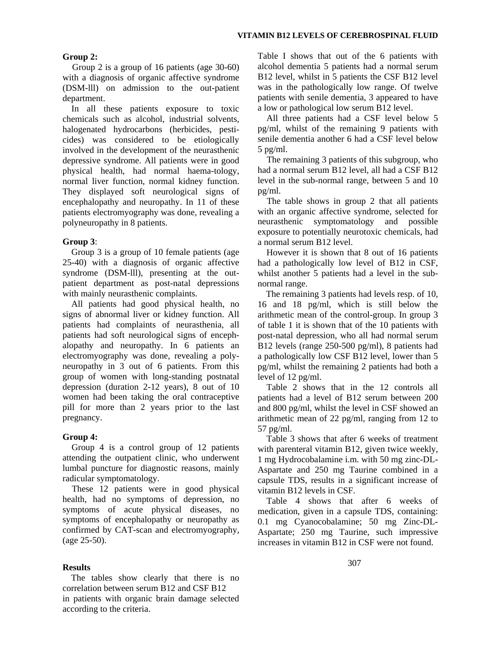#### **Group 2:**

Group 2 is a group of 16 patients (age 30-60) with a diagnosis of organic affective syndrome (DSM-lll) on admission to the out-patient department.

In all these patients exposure to toxic chemicals such as alcohol, industrial solvents, halogenated hydrocarbons (herbicides, pesticides) was considered to be etiologically involved in the development of the neurasthenic depressive syndrome. All patients were in good physical health, had normal haema-tology, normal liver function, normal kidney function. They displayed soft neurological signs of encephalopathy and neuropathy. In 11 of these patients electromyography was done, revealing a polyneuropathy in 8 patients.

### **Group 3**:

Group 3 is a group of 10 female patients (age 25-40) with a diagnosis of organic affective syndrome (DSM-lll), presenting at the outpatient department as post-natal depressions with mainly neurasthenic complaints.

All patients had good physical health, no signs of abnormal liver or kidney function. All patients had complaints of neurasthenia, all patients had soft neurological signs of encephalopathy and neuropathy. In 6 patients an electromyography was done, revealing a polyneuropathy in 3 out of 6 patients. From this group of women with long-standing postnatal depression (duration 2-12 years), 8 out of 10 women had been taking the oral contraceptive pill for more than 2 years prior to the last pregnancy.

### **Group 4:**

Group 4 is a control group of 12 patients attending the outpatient clinic, who underwent lumbal puncture for diagnostic reasons, mainly radicular symptomatology.

These 12 patients were in good physical health, had no symptoms of depression, no symptoms of acute physical diseases, no symptoms of encephalopathy or neuropathy as confirmed by CAT-scan and electromyography, (age 25-50).

### **Results**

The tables show clearly that there is no correlation between serum B12 and CSF B12 in patients with organic brain damage selected according to the criteria.

Table I shows that out of the 6 patients with alcohol dementia 5 patients had a normal serum B12 level, whilst in 5 patients the CSF B12 level was in the pathologically low range. Of twelve patients with senile dementia, 3 appeared to have a low or pathological low serum B12 level.

All three patients had a CSF level below 5 pg/ml, whilst of the remaining 9 patients with senile dementia another 6 had a CSF level below 5 pg/ml.

The remaining 3 patients of this subgroup, who had a normal serum B12 level, all had a CSF B12 level in the sub-normal range, between 5 and 10 pg/ml.

The table shows in group 2 that all patients with an organic affective syndrome, selected for neurasthenic symptomatology and possible exposure to potentially neurotoxic chemicals, had a normal serum B12 level.

However it is shown that 8 out of 16 patients had a pathologically low level of B12 in CSF, whilst another 5 patients had a level in the subnormal range.

The remaining 3 patients had levels resp. of 10, 16 and 18 pg/ml, which is still below the arithmetic mean of the control-group. In group 3 of table 1 it is shown that of the 10 patients with post-natal depression, who all had normal serum B12 levels (range 250-500 pg/ml), 8 patients had a pathologically low CSF B12 level, lower than 5 pg/ml, whilst the remaining 2 patients had both a level of 12 pg/ml.

Table 2 shows that in the 12 controls all patients had a level of B12 serum between 200 and 800 pg/ml, whilst the level in CSF showed an arithmetic mean of 22 pg/ml, ranging from 12 to 57 pg/ml.

Table 3 shows that after 6 weeks of treatment with parenteral vitamin B12, given twice weekly, 1 mg Hydrocobalamine i.m. with 50 mg zinc-DL-Aspartate and 250 mg Taurine combined in a capsule TDS, results in a significant increase of vitamin B12 levels in CSF.

Table 4 shows that after 6 weeks of medication, given in a capsule TDS, containing: 0.1 mg Cyanocobalamine; 50 mg Zinc-DL-Aspartate; 250 mg Taurine, such impressive increases in vitamin B12 in CSF were not found.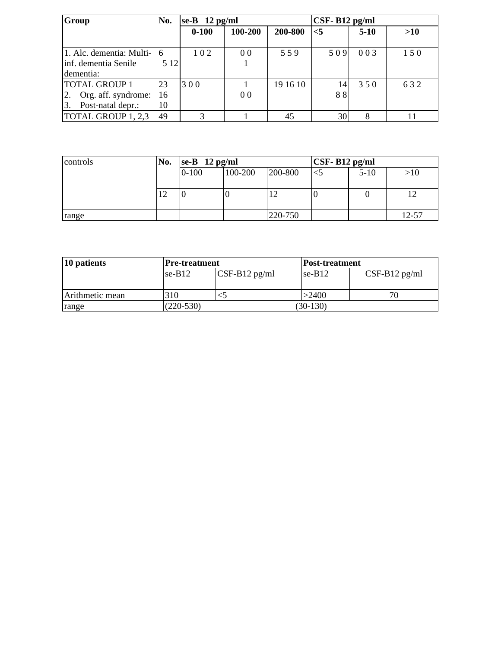| Group                                            | No.         | $ se-B 12 pg/ml$ |                |          | $\textsf{CSF-}B12$ pg/ml |        |     |  |
|--------------------------------------------------|-------------|------------------|----------------|----------|--------------------------|--------|-----|--|
|                                                  |             | $0 - 100$        | 100-200        | 200-800  | $<$ 5                    | $5-10$ | >10 |  |
| 1. Alc. dementia: Multi-<br>inf. dementia Senile | 16<br>5 1 2 | 102              | 0 <sub>0</sub> | 559      | 509                      | 003    | 150 |  |
| Idementia:                                       |             |                  |                |          |                          |        |     |  |
| <b>TOTAL GROUP 1</b>                             | 23          | 300              |                | 19 16 10 | 14                       | 350    | 632 |  |
| 2.<br>Org. aff. syndrome:                        | 16          |                  | 0 <sub>0</sub> |          | 88                       |        |     |  |
| Post-natal depr.:<br>13.                         | 10          |                  |                |          |                          |        |     |  |
| TOTAL GROUP 1, 2,3                               | 49          | 3                |                | 45       | 30                       | 8      |     |  |

| controls | No. | $\left  \text{se-B } 12 \text{ pg/ml} \right $ |         |         | $\textsf{CSF-}B12$ pg/ml |        |           |
|----------|-----|------------------------------------------------|---------|---------|--------------------------|--------|-----------|
|          |     | $0 - 100$                                      | 100-200 | 200-800 |                          | $5-10$ | >10       |
|          |     |                                                |         |         |                          |        |           |
|          | 12  | U                                              | U       |         | υ                        |        |           |
|          |     |                                                |         |         |                          |        |           |
| range    |     |                                                |         | 220-750 |                          |        | $12 - 57$ |

| 10 patients     | <b>Pre-treatment</b> |                               |            | <b>Post-treatment</b> |  |  |
|-----------------|----------------------|-------------------------------|------------|-----------------------|--|--|
|                 | $se-B12$             | $\text{CSF-B12}\text{ pg/ml}$ | $se-B12$   | $CSF-B12$ pg/ml       |  |  |
| Arithmetic mean | 310                  |                               | >2400      | 70                    |  |  |
| range           | $(220-530)$          |                               | $(30-130)$ |                       |  |  |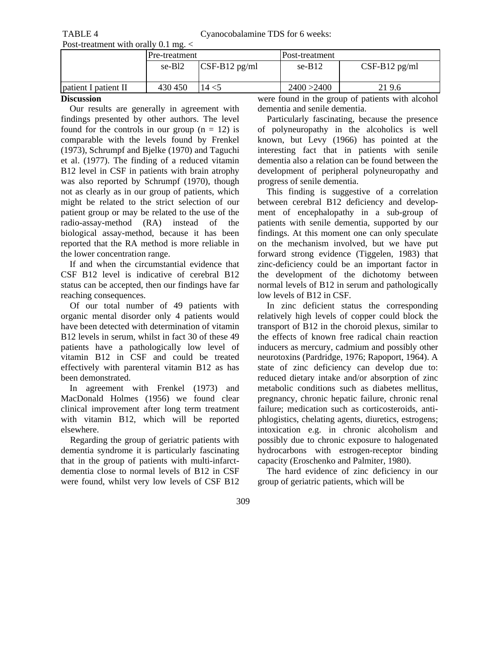| * *** *********** ***** **** |                    |                 |                |                    |  |  |  |
|------------------------------|--------------------|-----------------|----------------|--------------------|--|--|--|
|                              | Pre-treatment      |                 | Post-treatment |                    |  |  |  |
|                              | se-B <sub>12</sub> | $CSF-B12$ pg/ml | $se-B12$       | $CSF-B12$ pg/ml    |  |  |  |
| patient I patient II         | 430 450            | 14 < 5          | 2400 > 2400    | 219.6              |  |  |  |
| $ -$                         |                    |                 | .              | $\sim$ $\sim$<br>. |  |  |  |

# **Discussion**

Our results are generally in agreement with findings presented by other authors. The level found for the controls in our group  $(n = 12)$  is comparable with the levels found by Frenkel (1973), Schrumpf and Bjelke (1970) and Taguchi et al. (1977). The finding of a reduced vitamin B12 level in CSF in patients with brain atrophy was also reported by Schrumpf (1970), though not as clearly as in our group of patients, which might be related to the strict selection of our patient group or may be related to the use of the radio-assay-method (RA) instead of the biological assay-method, because it has been reported that the RA method is more reliable in the lower concentration range.

If and when the circumstantial evidence that CSF B12 level is indicative of cerebral B12 status can be accepted, then our findings have far reaching consequences.

Of our total number of 49 patients with organic mental disorder only 4 patients would have been detected with determination of vitamin B12 levels in serum, whilst in fact 30 of these 49 patients have a pathologically low level of vitamin B12 in CSF and could be treated effectively with parenteral vitamin B12 as has been demonstrated.

In agreement with Frenkel (1973) and MacDonald Holmes (1956) we found clear clinical improvement after long term treatment with vitamin B12, which will be reported elsewhere.

Regarding the group of geriatric patients with dementia syndrome it is particularly fascinating that in the group of patients with multi-infarctdementia close to normal levels of B12 in CSF were found, whilst very low levels of CSF B12 were found in the group of patients with alcohol dementia and senile dementia.

Particularly fascinating, because the presence of polyneuropathy in the alcoholics is well known, but Levy (1966) has pointed at the interesting fact that in patients with senile dementia also a relation can be found between the development of peripheral polyneuropathy and progress of senile dementia.

This finding is suggestive of a correlation between cerebral B12 deficiency and development of encephalopathy in a sub-group of patients with senile dementia, supported by our findings. At this moment one can only speculate on the mechanism involved, but we have put forward strong evidence (Tiggelen, 1983) that zinc-deficiency could be an important factor in the development of the dichotomy between normal levels of B12 in serum and pathologically low levels of B12 in CSF.

In zinc deficient status the corresponding relatively high levels of copper could block the transport of B12 in the choroid plexus, similar to the effects of known free radical chain reaction inducers as mercury, cadmium and possibly other neurotoxins (Pardridge, 1976; Rapoport, 1964). A state of zinc deficiency can develop due to: reduced dietary intake and/or absorption of zinc metabolic conditions such as diabetes mellitus, pregnancy, chronic hepatic failure, chronic renal failure; medication such as corticosteroids, antiphlogistics, chelating agents, diuretics, estrogens; intoxication e.g. in chronic alcoholism and possibly due to chronic exposure to halogenated hydrocarbons with estrogen-receptor binding capacity (Eroschenko and Palmiter, 1980).

The hard evidence of zinc deficiency in our group of geriatric patients, which will be

309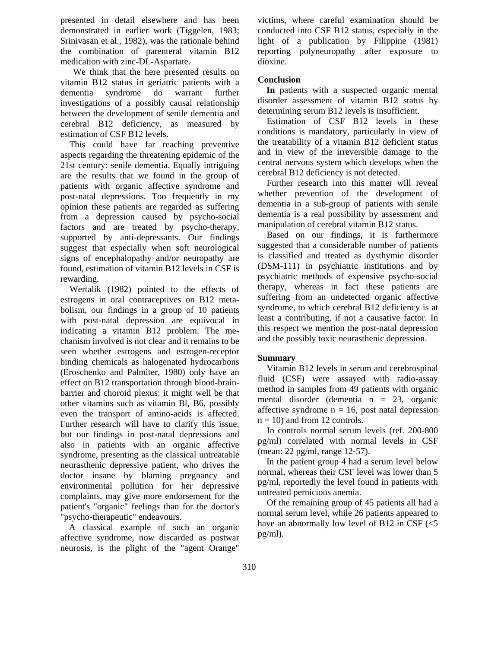presented in detail elsewhere and has been demonstrated in earlier work (Tiggelen, 1983; Srinivasan et al., 1982), was the rationale behind the combination of parenteral vitamin B12 medication with zinc-DL-Aspartate.

We think that the here presented results on vitamin B12 status in geriatric patients with a dementia syndrome do warrant further investigations of a possibly causal relationship between the development of senile dementia and cerebral B12 deficiency, as measured by estimation of CSF B12 levels.

This could have far reaching preventive aspects regarding the threatening epidemic of the 21st century: senile dementia. Equally intriguing are the results that we found in the group of patients with organic affective syndrome and post-natal depressions. Too frequently in my opinion these patients are regarded as suffering from a depression caused by psycho-social factors and are treated by psycho-therapy, supported by anti-depressants. Our findings suggest that especially when soft neurological signs of encephalopathy and/or neuropathy are found, estimation of vitamin B12 levels in CSF is rewarding.

Wertalik (1982) pointed to the effects of estrogens in oral contraceptives on B12 metabolism, our findings in a group of 10 patients with post-natal depression are equivocal in indicating a vitamin B12 problem. The mechanism involved is not clear and it remains to be seen whether estrogens and estrogen-receptor binding chemicals as halogenated hydrocarbons (Eroschenko and Palmiter, 1980) only have an effect on B12 transportation through blood-brainbarrier and choroid plexus: it might well be that other vitamins such as vitamin Bl, B6, possibly even the transport of amino-acids is affected. Further research will have to clarify this issue, but our findings in post-natal depressions and also in patients with an organic affective syndrome, presenting as the classical untreatable neurasthenic depressive patient, who drives the doctor insane by blaming pregnancy and environmental pollution for her depressive complaints, may give more endorsement for the patient's "organic" feelings than for the doctor's "psycho-therapeutic" endeavours.

A classical example of such an organic affective syndrome, now discarded as postwar neurosis, is the plight of the "agent Orange" victims, where careful examination should be conducted into CSF B12 status, especially in the light of a publication by Filippine (1981) reporting polyneuropathy after exposure to dioxine.

#### **Conclusion**

**In** patients with a suspected organic mental disorder assessment of vitamin B12 status by determining serum B12 levels is insufficient.

Estimation of CSF B12 levels in these conditions is mandatory, particularly in view of the treatability of a vitamin B12 deficient status and in view of the irreversible damage to the central nervous system which develops when the cerebral B12 deficiency is not detected.

Further research into this matter will reveal whether prevention of the development of dementia in a sub-group of patients with senile dementia is a real possibility by assessment and manipulation of cerebral vitamin B12 status.

Based on our findings, it is furthermore suggested that a considerable number of patients is classified and treated as dysthymic disorder (DSM-111) in psychiatric institutions and by psychiatric methods of expensive psycho-social therapy, whereas in fact these patients are suffering from an undetected organic affective syndrome, to which cerebral B12 deficiency is at least a contributing, if not a causative factor. In this respect we mention the post-natal depression and the possibly toxic neurasthenic depression.

# **Summary**

Vitamin B12 levels in serum and cerebrospinal fluid (CSF) were assayed with radio-assay method in samples from 49 patients with organic mental disorder (dementia n = 23, organic affective syndrome  $n = 16$ , post natal depression  $n = 10$ ) and from 12 controls.

In controls normal serum levels (ref. 200-800 pg/ml) correlated with normal levels in CSF (mean: 22 pg/ml, range 12-57).

In the patient group 4 had a serum level below normal, whereas their CSF level was lower than 5 pg/ml, reportedly the level found in patients with untreated pernicious anemia.

Of the remaining group of 45 patients all had a normal serum level, while 26 patients appeared to have an abnormally low level of B12 in CSF (<5 pg/ml).